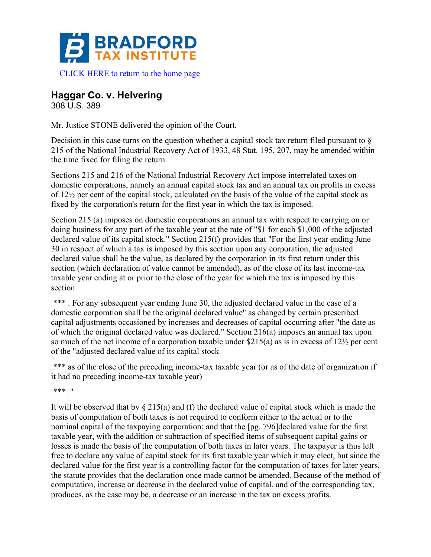

## **Haggar Co. v. Helvering**

308 U.S. 389

Mr. Justice STONE delivered the opinion of the Court.

Decision in this case turns on the question whether a capital stock tax return filed pursuant to  $\S$ 215 of the National Industrial Recovery Act of 1933, 48 Stat. 195, 207, may be amended within the time fixed for filing the return.

Sections 215 and 216 of the National Industrial Recovery Act impose interrelated taxes on domestic corporations, namely an annual capital stock tax and an annual tax on profits in excess of 12½ per cent of the capital stock, calculated on the basis of the value of the capital stock as fixed by the corporation's return for the first year in which the tax is imposed.

Section 215 (a) imposes on domestic corporations an annual tax with respect to carrying on or doing business for any part of the taxable year at the rate of "\$1 for each \$1,000 of the adjusted declared value of its capital stock." Section 215(f) provides that "For the first year ending June 30 in respect of which a tax is imposed by this section upon any corporation, the adjusted declared value shall be the value, as declared by the corporation in its first return under this section (which declaration of value cannot be amended), as of the close of its last income-tax taxable year ending at or prior to the close of the year for which the tax is imposed by this section

\*\*\*. For any subsequent year ending June 30, the adjusted declared value in the case of a domestic corporation shall be the original declared value" as changed by certain prescribed capital adjustments occasioned by increases and decreases of capital occurring after "the date as of which the original declared value was declared." Section 216(a) imposes an annual tax upon so much of the net income of a corporation taxable under \$215(a) as is in excess of 12½ per cent of the "adjusted declared value of its capital stock

\*\*\* as of the close of the preceding income-tax taxable year (or as of the date of organization if it had no preceding income-tax taxable year)

\*\*\* ."

It will be observed that by  $\S 215(a)$  and (f) the declared value of capital stock which is made the basis of computation of both taxes is not required to conform either to the actual or to the nominal capital of the taxpaying corporation; and that the [pg. 796]declared value for the first taxable year, with the addition or subtraction of specified items of subsequent capital gains or losses is made the basis of the computation of both taxes in later years. The taxpayer is thus left free to declare any value of capital stock for its first taxable year which it may elect, but since the declared value for the first year is a controlling factor for the computation of taxes for later years, the statute provides that the declaration once made cannot be amended. Because of the method of computation, increase or decrease in the declared value of capital, and of the corresponding tax, produces, as the case may be, a decrease or an increase in the tax on excess profits.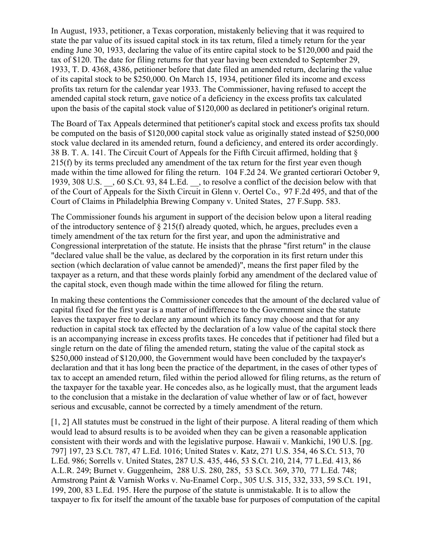In August, 1933, petitioner, a Texas corporation, mistakenly believing that it was required to state the par value of its issued capital stock in its tax return, filed a timely return for the year ending June 30, 1933, declaring the value of its entire capital stock to be \$120,000 and paid the tax of \$120. The date for filing returns for that year having been extended to September 29, 1933, T. D. 4368, 4386, petitioner before that date filed an amended return, declaring the value of its capital stock to be \$250,000. On March 15, 1934, petitioner filed its income and excess profits tax return for the calendar year 1933. The Commissioner, having refused to accept the amended capital stock return, gave notice of a deficiency in the excess profits tax calculated upon the basis of the capital stock value of \$120,000 as declared in petitioner's original return.

The Board of Tax Appeals determined that petitioner's capital stock and excess profits tax should be computed on the basis of \$120,000 capital stock value as originally stated instead of \$250,000 stock value declared in its amended return, found a deficiency, and entered its order accordingly. 38 B. T. A. 141. The Circuit Court of Appeals for the Fifth Circuit affirmed, holding that § 215(f) by its terms precluded any amendment of the tax return for the first year even though made within the time allowed for filing the return. 104 F.2d 24. We granted certiorari October 9, 1939, 308 U.S. \_\_, 60 S.Ct. 93, 84 L.Ed. \_\_, to resolve a conflict of the decision below with that of the Court of Appeals for the Sixth Circuit in Glenn v. Oertel Co., 97 F.2d 495, and that of the Court of Claims in Philadelphia Brewing Company v. United States, 27 F.Supp. 583.

The Commissioner founds his argument in support of the decision below upon a literal reading of the introductory sentence of § 215(f) already quoted, which, he argues, precludes even a timely amendment of the tax return for the first year, and upon the administrative and Congressional interpretation of the statute. He insists that the phrase "first return" in the clause "declared value shall be the value, as declared by the corporation in its first return under this section (which declaration of value cannot be amended)", means the first paper filed by the taxpayer as a return, and that these words plainly forbid any amendment of the declared value of the capital stock, even though made within the time allowed for filing the return.

In making these contentions the Commissioner concedes that the amount of the declared value of capital fixed for the first year is a matter of indifference to the Government since the statute leaves the taxpayer free to declare any amount which its fancy may choose and that for any reduction in capital stock tax effected by the declaration of a low value of the capital stock there is an accompanying increase in excess profits taxes. He concedes that if petitioner had filed but a single return on the date of filing the amended return, stating the value of the capital stock as \$250,000 instead of \$120,000, the Government would have been concluded by the taxpayer's declaration and that it has long been the practice of the department, in the cases of other types of tax to accept an amended return, filed within the period allowed for filing returns, as the return of the taxpayer for the taxable year. He concedes also, as he logically must, that the argument leads to the conclusion that a mistake in the declaration of value whether of law or of fact, however serious and excusable, cannot be corrected by a timely amendment of the return.

[1, 2] All statutes must be construed in the light of their purpose. A literal reading of them which would lead to absurd results is to be avoided when they can be given a reasonable application consistent with their words and with the legislative purpose. Hawaii v. Mankichi, 190 U.S. [pg. 797] 197, 23 S.Ct. 787, 47 L.Ed. 1016; United States v. Katz, 271 U.S. 354, 46 S.Ct. 513, 70 L.Ed. 986; Sorrells v. United States, 287 U.S. 435, 446, 53 S.Ct. 210, 214, 77 L.Ed. 413, 86 A.L.R. 249; Burnet v. Guggenheim, 288 U.S. 280, 285, 53 S.Ct. 369, 370, 77 L.Ed. 748; Armstrong Paint & Varnish Works v. Nu-Enamel Corp., 305 U.S. 315, 332, 333, 59 S.Ct. 191, 199, 200, 83 L.Ed. 195. Here the purpose of the statute is unmistakable. It is to allow the taxpayer to fix for itself the amount of the taxable base for purposes of computation of the capital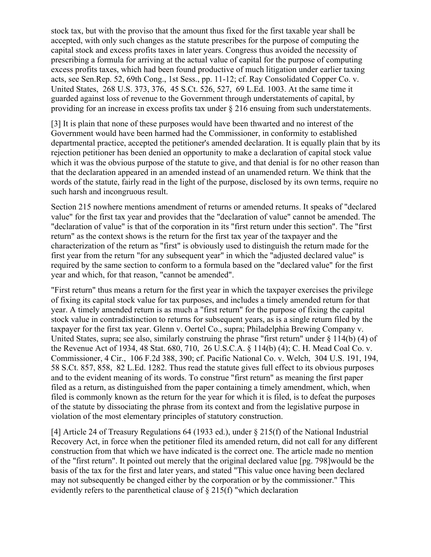stock tax, but with the proviso that the amount thus fixed for the first taxable year shall be accepted, with only such changes as the statute prescribes for the purpose of computing the capital stock and excess profits taxes in later years. Congress thus avoided the necessity of prescribing a formula for arriving at the actual value of capital for the purpose of computing excess profits taxes, which had been found productive of much litigation under earlier taxing acts, see Sen.Rep. 52, 69th Cong., 1st Sess., pp. 11-12; cf. Ray Consolidated Copper Co. v. United States, 268 U.S. 373, 376, 45 S.Ct. 526, 527, 69 L.Ed. 1003. At the same time it guarded against loss of revenue to the Government through understatements of capital, by providing for an increase in excess profits tax under § 216 ensuing from such understatements.

[3] It is plain that none of these purposes would have been thwarted and no interest of the Government would have been harmed had the Commissioner, in conformity to established departmental practice, accepted the petitioner's amended declaration. It is equally plain that by its rejection petitioner has been denied an opportunity to make a declaration of capital stock value which it was the obvious purpose of the statute to give, and that denial is for no other reason than that the declaration appeared in an amended instead of an unamended return. We think that the words of the statute, fairly read in the light of the purpose, disclosed by its own terms, require no such harsh and incongruous result.

Section 215 nowhere mentions amendment of returns or amended returns. It speaks of "declared value" for the first tax year and provides that the "declaration of value" cannot be amended. The "declaration of value" is that of the corporation in its "first return under this section". The "first return" as the context shows is the return for the first tax year of the taxpayer and the characterization of the return as "first" is obviously used to distinguish the return made for the first year from the return "for any subsequent year" in which the "adjusted declared value" is required by the same section to conform to a formula based on the "declared value" for the first year and which, for that reason, "cannot be amended".

"First return" thus means a return for the first year in which the taxpayer exercises the privilege of fixing its capital stock value for tax purposes, and includes a timely amended return for that year. A timely amended return is as much a "first return" for the purpose of fixing the capital stock value in contradistinction to returns for subsequent years, as is a single return filed by the taxpayer for the first tax year. Glenn v. Oertel Co., supra; Philadelphia Brewing Company v. United States, supra; see also, similarly construing the phrase "first return" under § 114(b) (4) of the Revenue Act of 1934, 48 Stat. 680, 710, 26 U.S.C.A. § 114(b) (4); C. H. Mead Coal Co. v. Commissioner, 4 Cir., 106 F.2d 388, 390; cf. Pacific National Co. v. Welch, 304 U.S. 191, 194, 58 S.Ct. 857, 858, 82 L.Ed. 1282. Thus read the statute gives full effect to its obvious purposes and to the evident meaning of its words. To construe "first return" as meaning the first paper filed as a return, as distinguished from the paper containing a timely amendment, which, when filed is commonly known as the return for the year for which it is filed, is to defeat the purposes of the statute by dissociating the phrase from its context and from the legislative purpose in violation of the most elementary principles of statutory construction.

[4] Article 24 of Treasury Regulations 64 (1933 ed.), under § 215(f) of the National Industrial Recovery Act, in force when the petitioner filed its amended return, did not call for any different construction from that which we have indicated is the correct one. The article made no mention of the "first return". It pointed out merely that the original declared value [pg. 798]would be the basis of the tax for the first and later years, and stated "This value once having been declared may not subsequently be changed either by the corporation or by the commissioner." This evidently refers to the parenthetical clause of § 215(f) "which declaration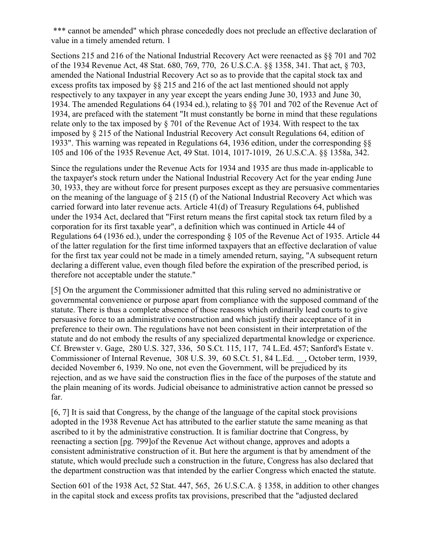\*\*\* cannot be amended" which phrase concededly does not preclude an effective declaration of value in a timely amended return. 1

Sections 215 and 216 of the National Industrial Recovery Act were reenacted as §§ 701 and 702 of the 1934 Revenue Act, 48 Stat. 680, 769, 770, 26 U.S.C.A. §§ 1358, 341. That act, § 703, amended the National Industrial Recovery Act so as to provide that the capital stock tax and excess profits tax imposed by §§ 215 and 216 of the act last mentioned should not apply respectively to any taxpayer in any year except the years ending June 30, 1933 and June 30, 1934. The amended Regulations 64 (1934 ed.), relating to §§ 701 and 702 of the Revenue Act of 1934, are prefaced with the statement "It must constantly be borne in mind that these regulations relate only to the tax imposed by § 701 of the Revenue Act of 1934. With respect to the tax imposed by § 215 of the National Industrial Recovery Act consult Regulations 64, edition of 1933". This warning was repeated in Regulations 64, 1936 edition, under the corresponding §§ 105 and 106 of the 1935 Revenue Act, 49 Stat. 1014, 1017-1019, 26 U.S.C.A. §§ 1358a, 342.

Since the regulations under the Revenue Acts for 1934 and 1935 are thus made in-applicable to the taxpayer's stock return under the National Industrial Recovery Act for the year ending June 30, 1933, they are without force for present purposes except as they are persuasive commentaries on the meaning of the language of § 215 (f) of the National Industrial Recovery Act which was carried forward into later revenue acts. Article 41(d) of Treasury Regulations 64, published under the 1934 Act, declared that "First return means the first capital stock tax return filed by a corporation for its first taxable year", a definition which was continued in Article 44 of Regulations 64 (1936 ed.), under the corresponding § 105 of the Revenue Act of 1935. Article 44 of the latter regulation for the first time informed taxpayers that an effective declaration of value for the first tax year could not be made in a timely amended return, saying, "A subsequent return declaring a different value, even though filed before the expiration of the prescribed period, is therefore not acceptable under the statute."

[5] On the argument the Commissioner admitted that this ruling served no administrative or governmental convenience or purpose apart from compliance with the supposed command of the statute. There is thus a complete absence of those reasons which ordinarily lead courts to give persuasive force to an administrative construction and which justify their acceptance of it in preference to their own. The regulations have not been consistent in their interpretation of the statute and do not embody the results of any specialized departmental knowledge or experience. Cf. Brewster v. Gage, 280 U.S. 327, 336, 50 S.Ct. 115, 117, 74 L.Ed. 457; Sanford's Estate v. Commissioner of Internal Revenue, 308 U.S. 39, 60 S.Ct. 51, 84 L.Ed. \_\_, October term, 1939, decided November 6, 1939. No one, not even the Government, will be prejudiced by its rejection, and as we have said the construction flies in the face of the purposes of the statute and the plain meaning of its words. Judicial obeisance to administrative action cannot be pressed so far.

[6, 7] It is said that Congress, by the change of the language of the capital stock provisions adopted in the 1938 Revenue Act has attributed to the earlier statute the same meaning as that ascribed to it by the administrative construction. It is familiar doctrine that Congress, by reenacting a section [pg. 799]of the Revenue Act without change, approves and adopts a consistent administrative construction of it. But here the argument is that by amendment of the statute, which would preclude such a construction in the future, Congress has also declared that the department construction was that intended by the earlier Congress which enacted the statute.

Section 601 of the 1938 Act, 52 Stat. 447, 565, 26 U.S.C.A. § 1358, in addition to other changes in the capital stock and excess profits tax provisions, prescribed that the "adjusted declared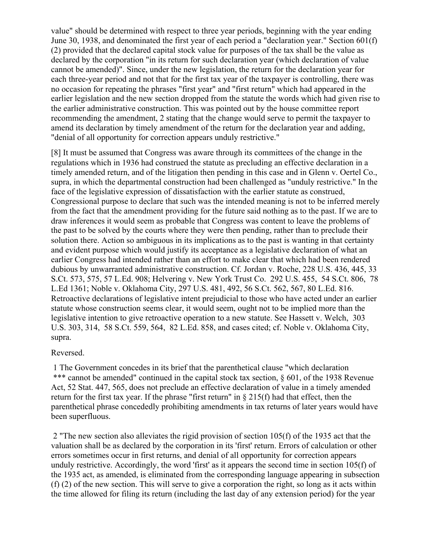value" should be determined with respect to three year periods, beginning with the year ending June 30, 1938, and denominated the first year of each period a "declaration year." Section 601(f) (2) provided that the declared capital stock value for purposes of the tax shall be the value as declared by the corporation "in its return for such declaration year (which declaration of value cannot be amended)". Since, under the new legislation, the return for the declaration year for each three-year period and not that for the first tax year of the taxpayer is controlling, there was no occasion for repeating the phrases "first year" and "first return" which had appeared in the earlier legislation and the new section dropped from the statute the words which had given rise to the earlier administrative construction. This was pointed out by the house committee report recommending the amendment, 2 stating that the change would serve to permit the taxpayer to amend its declaration by timely amendment of the return for the declaration year and adding, "denial of all opportunity for correction appears unduly restrictive."

[8] It must be assumed that Congress was aware through its committees of the change in the regulations which in 1936 had construed the statute as precluding an effective declaration in a timely amended return, and of the litigation then pending in this case and in Glenn v. Oertel Co., supra, in which the departmental construction had been challenged as "unduly restrictive." In the face of the legislative expression of dissatisfaction with the earlier statute as construed, Congressional purpose to declare that such was the intended meaning is not to be inferred merely from the fact that the amendment providing for the future said nothing as to the past. If we are to draw inferences it would seem as probable that Congress was content to leave the problems of the past to be solved by the courts where they were then pending, rather than to preclude their solution there. Action so ambiguous in its implications as to the past is wanting in that certainty and evident purpose which would justify its acceptance as a legislative declaration of what an earlier Congress had intended rather than an effort to make clear that which had been rendered dubious by unwarranted administrative construction. Cf. Jordan v. Roche, 228 U.S. 436, 445, 33 S.Ct. 573, 575, 57 L.Ed. 908; Helvering v. New York Trust Co. 292 U.S. 455, 54 S.Ct. 806, 78 L.Ed 1361; Noble v. Oklahoma City, 297 U.S. 481, 492, 56 S.Ct. 562, 567, 80 L.Ed. 816. Retroactive declarations of legislative intent prejudicial to those who have acted under an earlier statute whose construction seems clear, it would seem, ought not to be implied more than the legislative intention to give retroactive operation to a new statute. See Hassett v. Welch, 303 U.S. 303, 314, 58 S.Ct. 559, 564, 82 L.Ed. 858, and cases cited; cf. Noble v. Oklahoma City, supra.

## Reversed.

1 The Government concedes in its brief that the parenthetical clause "which declaration \*\*\* cannot be amended" continued in the capital stock tax section, § 601, of the 1938 Revenue Act, 52 Stat. 447, 565, does not preclude an effective declaration of value in a timely amended return for the first tax year. If the phrase "first return" in § 215(f) had that effect, then the parenthetical phrase concededly prohibiting amendments in tax returns of later years would have been superfluous.

2 "The new section also alleviates the rigid provision of section 105(f) of the 1935 act that the valuation shall be as declared by the corporation in its 'first' return. Errors of calculation or other errors sometimes occur in first returns, and denial of all opportunity for correction appears unduly restrictive. Accordingly, the word 'first' as it appears the second time in section 105(f) of the 1935 act, as amended, is eliminated from the corresponding language appearing in subsection (f) (2) of the new section. This will serve to give a corporation the right, so long as it acts within the time allowed for filing its return (including the last day of any extension period) for the year